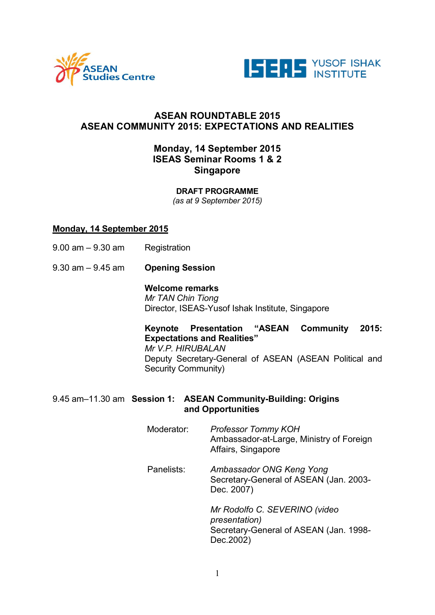



## ASEAN ROUNDTABLE 2015 ASEAN COMMUNITY 2015: EXPECTATIONS AND REALITIES

# Monday, 14 September 2015 ISEAS Seminar Rooms 1 & 2 **Singapore**

DRAFT PROGRAMME *(as at 9 September 2015)*

## Monday, 14 September 2015

- 9.00 am 9.30 am Registration
- 9.30 am 9.45 am Opening Session

#### Welcome remarks

*Mr TAN Chin Tiong*  Director, ISEAS-Yusof Ishak Institute, Singapore

Keynote Presentation "ASEAN Community 2015: Expectations and Realities" *Mr V.P. HIRUBALAN*  Deputy Secretary-General of ASEAN (ASEAN Political and Security Community)

## 9.45 am–11.30 am Session 1: ASEAN Community-Building: Origins and Opportunities

Moderator: *Professor Tommy KOH* Ambassador-at-Large, Ministry of Foreign Affairs, Singapore Panelists: *Ambassador ONG Keng Yong* Secretary-General of ASEAN (Jan. 2003- Dec. 2007) *Mr Rodolfo C. SEVERINO (video presentation)* Secretary-General of ASEAN (Jan. 1998- Dec.2002)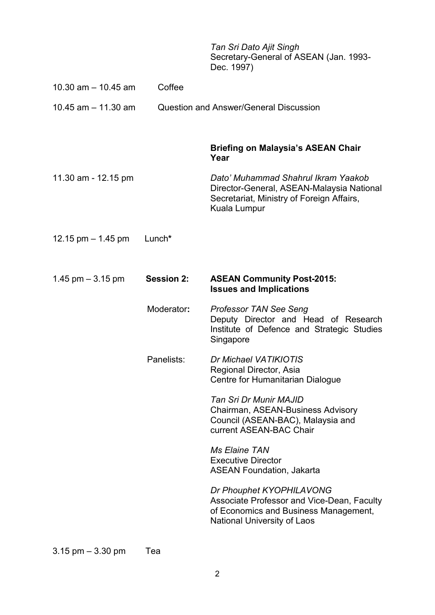*Tan Sri Dato Ajit Singh*  Secretary-General of ASEAN (Jan. 1993- Dec. 1997)

| 10.30 am $-$ 10.45 am | Coffee            |                                                                                                                                                       |
|-----------------------|-------------------|-------------------------------------------------------------------------------------------------------------------------------------------------------|
| 10.45 $am - 11.30$ am |                   | <b>Question and Answer/General Discussion</b>                                                                                                         |
|                       |                   | <b>Briefing on Malaysia's ASEAN Chair</b><br>Year                                                                                                     |
| 11.30 am - 12.15 pm   |                   | Dato' Muhammad Shahrul Ikram Yaakob<br>Director-General, ASEAN-Malaysia National<br>Secretariat, Ministry of Foreign Affairs,<br>Kuala Lumpur         |
| 12.15 pm $-$ 1.45 pm  | Lunch*            |                                                                                                                                                       |
| 1.45 $pm - 3.15$ pm   | <b>Session 2:</b> | <b>ASEAN Community Post-2015:</b><br><b>Issues and Implications</b>                                                                                   |
|                       | Moderator:        | <b>Professor TAN See Seng</b><br>Deputy Director and Head of Research<br>Institute of Defence and Strategic Studies<br>Singapore                      |
|                       | Panelists:        | Dr Michael VATIKIOTIS<br>Regional Director, Asia<br>Centre for Humanitarian Dialogue                                                                  |
|                       |                   | Tan Sri Dr Munir MAJID<br>Chairman, ASEAN-Business Advisory<br>Council (ASEAN-BAC), Malaysia and<br>current ASEAN-BAC Chair                           |
|                       |                   | <b>Ms Elaine TAN</b><br><b>Executive Director</b><br><b>ASEAN Foundation, Jakarta</b>                                                                 |
|                       |                   | Dr Phouphet KYOPHILAVONG<br>Associate Professor and Vice-Dean, Faculty<br>of Economics and Business Management,<br><b>National University of Laos</b> |